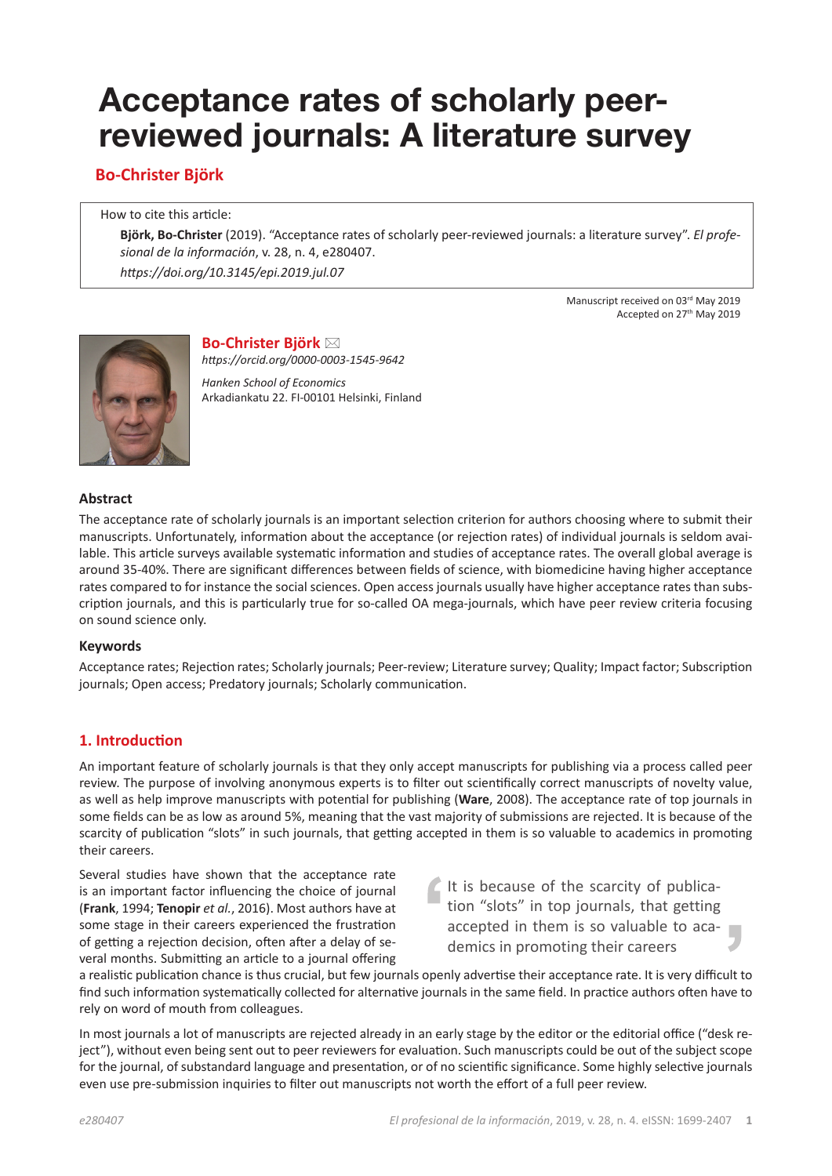# **Acceptance rates of scholarly peerreviewed journals: A literature survey**

**Bo-Christer Björk**

How to cite this article:

**Björk, Bo-Christer** (2019). "Acceptance rates of scholarly peer-reviewed journals: a literature survey". *El profesional de la información*, v. 28, n. 4, e280407.

*https://doi.org/10.3145/epi.2019.jul.07*

Manuscript received on 03rd May 2019 Accepted on 27<sup>th</sup> May 2019



**Bo-Christer Björk** ⊠ *https://orcid.org/0000-0003-1545-9642*

*Hanken School of Economics* Arkadiankatu 22. FI-00101 Helsinki, Finland

#### **Abstract**

The acceptance rate of scholarly journals is an important selection criterion for authors choosing where to submit their manuscripts. Unfortunately, information about the acceptance (or rejection rates) of individual journals is seldom available. This article surveys available systematic information and studies of acceptance rates. The overall global average is around 35-40%. There are significant differences between fields of science, with biomedicine having higher acceptance rates compared to for instance the social sciences. Open access journals usually have higher acceptance rates than subscription journals, and this is particularly true for so-called OA mega-journals, which have peer review criteria focusing on sound science only.

#### **Keywords**

Acceptance rates; Rejection rates; Scholarly journals; Peer-review; Literature survey; Quality; Impact factor; Subscription journals; Open access; Predatory journals; Scholarly communication.

# **1. Introduction**

An important feature of scholarly journals is that they only accept manuscripts for publishing via a process called peer review. The purpose of involving anonymous experts is to filter out scientifically correct manuscripts of novelty value, as well as help improve manuscripts with potential for publishing (**Ware**, 2008). The acceptance rate of top journals in some fields can be as low as around 5%, meaning that the vast majority of submissions are rejected. It is because of the scarcity of publication "slots" in such journals, that getting accepted in them is so valuable to academics in promoting their careers.

Several studies have shown that the acceptance rate is an important factor influencing the choice of journal (**Frank**, 1994; **Tenopir** *et al.*, 2016). Most authors have at some stage in their careers experienced the frustration of getting a rejection decision, often after a delay of several months. Submitting an article to a journal offering

It is because of the scarcity of publication "slots" in top journals, that getting accepted in them is so valuable to academics in promoting their careers

a realistic publication chance is thus crucial, but few journals openly advertise their acceptance rate. It is very difficult to find such information systematically collected for alternative journals in the same field. In practice authors often have to rely on word of mouth from colleagues.

In most journals a lot of manuscripts are rejected already in an early stage by the editor or the editorial office ("desk reject"), without even being sent out to peer reviewers for evaluation. Such manuscripts could be out of the subject scope for the journal, of substandard language and presentation, or of no scientific significance. Some highly selective journals even use pre-submission inquiries to filter out manuscripts not worth the effort of a full peer review.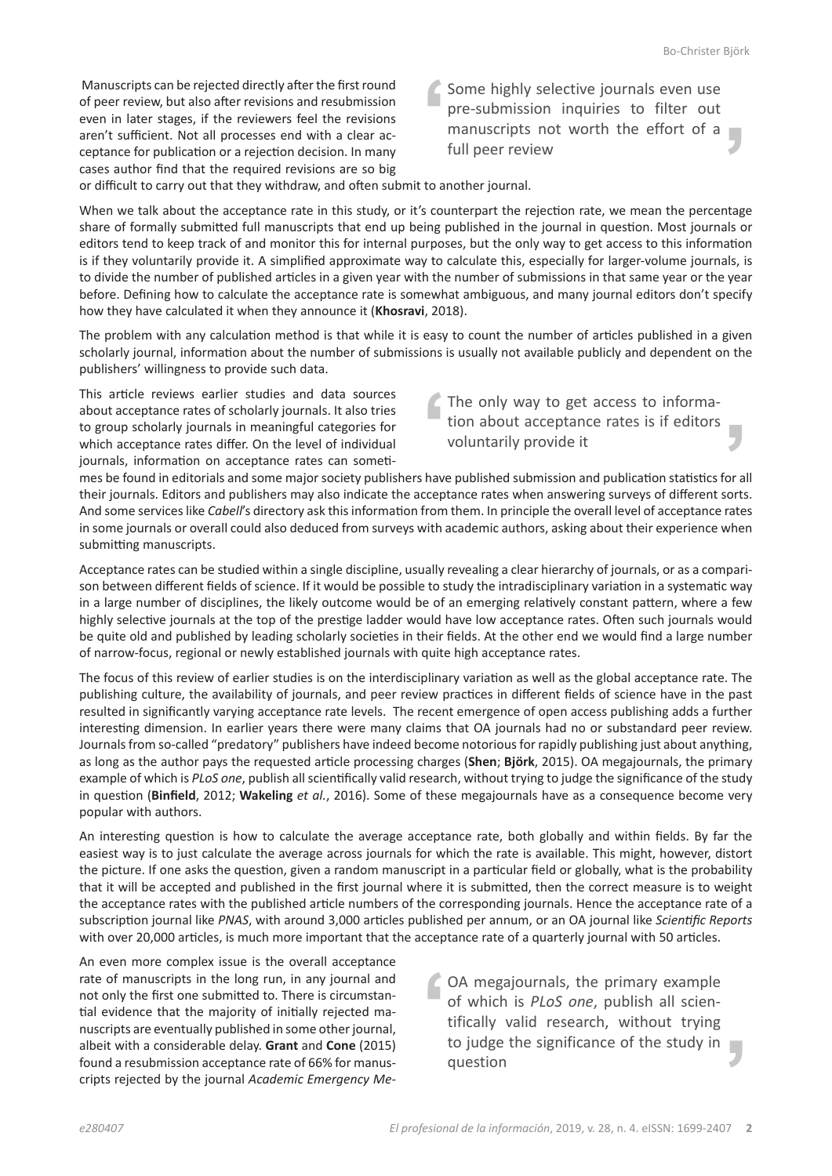Manuscripts can be rejected directly after the first round of peer review, but also after revisions and resubmission even in later stages, if the reviewers feel the revisions aren't sufficient. Not all processes end with a clear acceptance for publication or a rejection decision. In many cases author find that the required revisions are so big Some highly selective journals even use pre-submission inquiries to filter out manuscripts not worth the effort of a full peer review

or difficult to carry out that they withdraw, and often submit to another journal.

When we talk about the acceptance rate in this study, or it's counterpart the rejection rate, we mean the percentage share of formally submitted full manuscripts that end up being published in the journal in question. Most journals or editors tend to keep track of and monitor this for internal purposes, but the only way to get access to this information is if they voluntarily provide it. A simplified approximate way to calculate this, especially for larger-volume journals, is to divide the number of published articles in a given year with the number of submissions in that same year or the year before. Defining how to calculate the acceptance rate is somewhat ambiguous, and many journal editors don't specify how they have calculated it when they announce it (**Khosravi**, 2018).

The problem with any calculation method is that while it is easy to count the number of articles published in a given scholarly journal, information about the number of submissions is usually not available publicly and dependent on the publishers' willingness to provide such data.

This article reviews earlier studies and data sources about acceptance rates of scholarly journals. It also tries to group scholarly journals in meaningful categories for which acceptance rates differ. On the level of individual journals, information on acceptance rates can someti-

The only way to get access to information about acceptance rates is if editors voluntarily provide it

mes be found in editorials and some major society publishers have published submission and publication statistics for all their journals. Editors and publishers may also indicate the acceptance rates when answering surveys of different sorts. And some services like *Cabell*'s directory ask this information from them. In principle the overall level of acceptance rates in some journals or overall could also deduced from surveys with academic authors, asking about their experience when submitting manuscripts.

Acceptance rates can be studied within a single discipline, usually revealing a clear hierarchy of journals, or as a comparison between different fields of science. If it would be possible to study the intradisciplinary variation in a systematic way in a large number of disciplines, the likely outcome would be of an emerging relatively constant pattern, where a few highly selective journals at the top of the prestige ladder would have low acceptance rates. Often such journals would be quite old and published by leading scholarly societies in their fields. At the other end we would find a large number of narrow-focus, regional or newly established journals with quite high acceptance rates.

The focus of this review of earlier studies is on the interdisciplinary variation as well as the global acceptance rate. The publishing culture, the availability of journals, and peer review practices in different fields of science have in the past resulted in significantly varying acceptance rate levels. The recent emergence of open access publishing adds a further interesting dimension. In earlier years there were many claims that OA journals had no or substandard peer review. Journals from so-called "predatory" publishers have indeed become notorious for rapidly publishing just about anything, as long as the author pays the requested article processing charges (**Shen**; **Björk**, 2015). OA megajournals, the primary example of which is *PLoS one*, publish all scientifically valid research, without trying to judge the significance of the study in question (**Binfield**, 2012; **Wakeling** *et al.*, 2016). Some of these megajournals have as a consequence become very popular with authors.

An interesting question is how to calculate the average acceptance rate, both globally and within fields. By far the easiest way is to just calculate the average across journals for which the rate is available. This might, however, distort the picture. If one asks the question, given a random manuscript in a particular field or globally, what is the probability that it will be accepted and published in the first journal where it is submitted, then the correct measure is to weight the acceptance rates with the published article numbers of the corresponding journals. Hence the acceptance rate of a subscription journal like *PNAS*, with around 3,000 articles published per annum, or an OA journal like *Scientific Reports* with over 20,000 articles, is much more important that the acceptance rate of a quarterly journal with 50 articles.

An even more complex issue is the overall acceptance rate of manuscripts in the long run, in any journal and not only the first one submitted to. There is circumstantial evidence that the majority of initially rejected manuscripts are eventually published in some other journal, albeit with a considerable delay. **Grant** and **Cone** (2015) found a resubmission acceptance rate of 66% for manuscripts rejected by the journal *Academic Emergency Me-*

OA megajournals, the primary example of which is *PLoS one*, publish all scientifically valid research, without trying to judge the significance of the study in question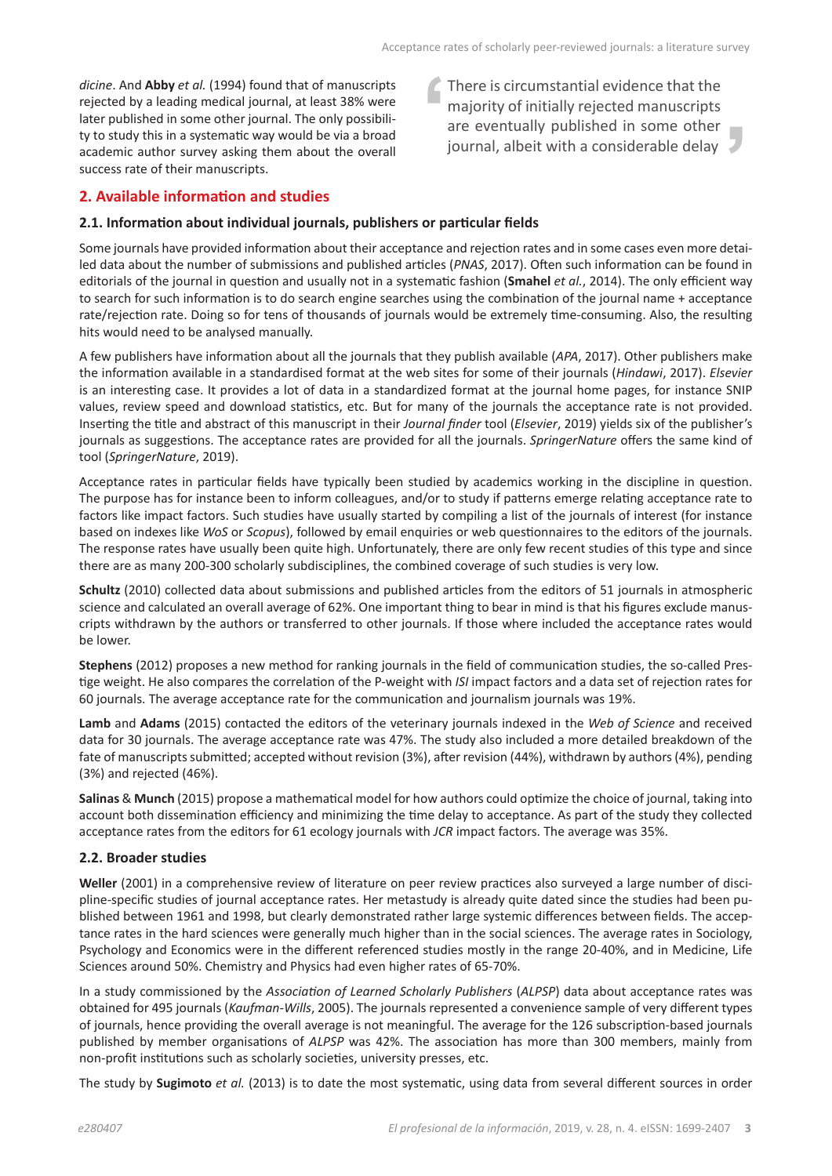*dicine*. And **Abby** *et al.* (1994) found that of manuscripts rejected by a leading medical journal, at least 38% were later published in some other journal. The only possibility to study this in a systematic way would be via a broad academic author survey asking them about the overall success rate of their manuscripts.

There is circumstantial evidence that the majority of initially rejected manuscripts are eventually published in some other journal, albeit with a considerable delay

# **2. Available information and studies**

#### **2.1. Information about individual journals, publishers or particular fields**

Some journals have provided information about their acceptance and rejection rates and in some cases even more detailed data about the number of submissions and published articles (*PNAS*, 2017). Often such information can be found in editorials of the journal in question and usually not in a systematic fashion (**Smahel** *et al.*, 2014). The only efficient way to search for such information is to do search engine searches using the combination of the journal name + acceptance rate/rejection rate. Doing so for tens of thousands of journals would be extremely time-consuming. Also, the resulting hits would need to be analysed manually.

A few publishers have information about all the journals that they publish available (*APA*, 2017). Other publishers make the information available in a standardised format at the web sites for some of their journals (*Hindawi*, 2017). *Elsevier* is an interesting case. It provides a lot of data in a standardized format at the journal home pages, for instance SNIP values, review speed and download statistics, etc. But for many of the journals the acceptance rate is not provided. Inserting the title and abstract of this manuscript in their *Journal finder* tool (*Elsevier*, 2019) yields six of the publisher's journals as suggestions. The acceptance rates are provided for all the journals. *SpringerNature* offers the same kind of tool (*SpringerNature*, 2019).

Acceptance rates in particular fields have typically been studied by academics working in the discipline in question. The purpose has for instance been to inform colleagues, and/or to study if patterns emerge relating acceptance rate to factors like impact factors. Such studies have usually started by compiling a list of the journals of interest (for instance based on indexes like *WoS* or *Scopus*), followed by email enquiries or web questionnaires to the editors of the journals. The response rates have usually been quite high. Unfortunately, there are only few recent studies of this type and since there are as many 200-300 scholarly subdisciplines, the combined coverage of such studies is very low.

**Schultz** (2010) collected data about submissions and published articles from the editors of 51 journals in atmospheric science and calculated an overall average of 62%. One important thing to bear in mind is that his figures exclude manuscripts withdrawn by the authors or transferred to other journals. If those where included the acceptance rates would be lower.

**Stephens** (2012) proposes a new method for ranking journals in the field of communication studies, the so-called Prestige weight. He also compares the correlation of the P-weight with *ISI* impact factors and a data set of rejection rates for 60 journals. The average acceptance rate for the communication and journalism journals was 19%.

**Lamb** and **Adams** (2015) contacted the editors of the veterinary journals indexed in the *Web of Science* and received data for 30 journals. The average acceptance rate was 47%. The study also included a more detailed breakdown of the fate of manuscripts submitted; accepted without revision (3%), after revision (44%), withdrawn by authors (4%), pending (3%) and rejected (46%).

**Salinas** & **Munch** (2015) propose a mathematical model for how authors could optimize the choice of journal, taking into account both dissemination efficiency and minimizing the time delay to acceptance. As part of the study they collected acceptance rates from the editors for 61 ecology journals with *JCR* impact factors. The average was 35%.

#### **2.2. Broader studies**

**Weller** (2001) in a comprehensive review of literature on peer review practices also surveyed a large number of discipline-specific studies of journal acceptance rates. Her metastudy is already quite dated since the studies had been published between 1961 and 1998, but clearly demonstrated rather large systemic differences between fields. The acceptance rates in the hard sciences were generally much higher than in the social sciences. The average rates in Sociology, Psychology and Economics were in the different referenced studies mostly in the range 20-40%, and in Medicine, Life Sciences around 50%. Chemistry and Physics had even higher rates of 65-70%.

In a study commissioned by the *Association of Learned Scholarly Publishers* (*ALPSP*) data about acceptance rates was obtained for 495 journals (*Kaufman-Wills*, 2005). The journals represented a convenience sample of very different types of journals, hence providing the overall average is not meaningful. The average for the 126 subscription-based journals published by member organisations of *ALPSP* was 42%. The association has more than 300 members, mainly from non-profit institutions such as scholarly societies, university presses, etc.

The study by **Sugimoto** *et al.* (2013) is to date the most systematic, using data from several different sources in order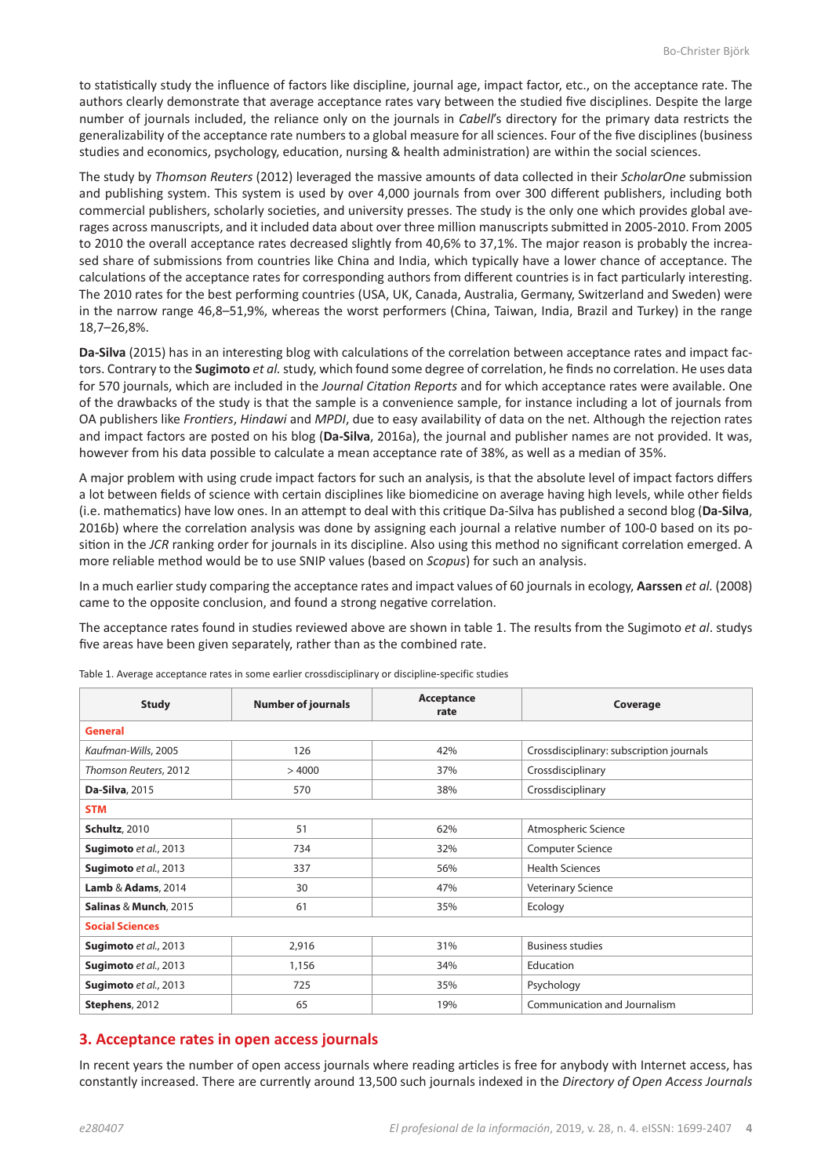to statistically study the influence of factors like discipline, journal age, impact factor, etc., on the acceptance rate. The authors clearly demonstrate that average acceptance rates vary between the studied five disciplines. Despite the large number of journals included, the reliance only on the journals in *Cabell*'s directory for the primary data restricts the generalizability of the acceptance rate numbers to a global measure for all sciences. Four of the five disciplines (business studies and economics, psychology, education, nursing & health administration) are within the social sciences.

The study by *Thomson Reuters* (2012) leveraged the massive amounts of data collected in their *ScholarOne* submission and publishing system. This system is used by over 4,000 journals from over 300 different publishers, including both commercial publishers, scholarly societies, and university presses. The study is the only one which provides global averages across manuscripts, and it included data about over three million manuscripts submitted in 2005-2010. From 2005 to 2010 the overall acceptance rates decreased slightly from 40,6% to 37,1%. The major reason is probably the increased share of submissions from countries like China and India, which typically have a lower chance of acceptance. The calculations of the acceptance rates for corresponding authors from different countries is in fact particularly interesting. The 2010 rates for the best performing countries (USA, UK, Canada, Australia, Germany, Switzerland and Sweden) were in the narrow range 46,8–51,9%, whereas the worst performers (China, Taiwan, India, Brazil and Turkey) in the range 18,7–26,8%.

**Da-Silva** (2015) has in an interesting blog with calculations of the correlation between acceptance rates and impact factors. Contrary to the **Sugimoto** *et al.* study, which found some degree of correlation, he finds no correlation. He uses data for 570 journals, which are included in the *Journal Citation Reports* and for which acceptance rates were available. One of the drawbacks of the study is that the sample is a convenience sample, for instance including a lot of journals from OA publishers like *Frontiers*, *Hindawi* and *MPDI*, due to easy availability of data on the net. Although the rejection rates and impact factors are posted on his blog (**Da-Silva**, 2016a), the journal and publisher names are not provided. It was, however from his data possible to calculate a mean acceptance rate of 38%, as well as a median of 35%.

A major problem with using crude impact factors for such an analysis, is that the absolute level of impact factors differs a lot between fields of science with certain disciplines like biomedicine on average having high levels, while other fields (i.e. mathematics) have low ones. In an attempt to deal with this critique Da-Silva has published a second blog (**Da-Silva**, 2016b) where the correlation analysis was done by assigning each journal a relative number of 100-0 based on its position in the *JCR* ranking order for journals in its discipline. Also using this method no significant correlation emerged. A more reliable method would be to use SNIP values (based on *Scopus*) for such an analysis.

In a much earlier study comparing the acceptance rates and impact values of 60 journals in ecology, **Aarssen** *et al.* (2008) came to the opposite conclusion, and found a strong negative correlation.

The acceptance rates found in studies reviewed above are shown in table 1. The results from the Sugimoto *et al*. studys five areas have been given separately, rather than as the combined rate.

| <b>Study</b>           | <b>Number of journals</b> | Acceptance<br>rate | Coverage                                 |  |  |  |
|------------------------|---------------------------|--------------------|------------------------------------------|--|--|--|
| <b>General</b>         |                           |                    |                                          |  |  |  |
| Kaufman-Wills, 2005    | 126                       | 42%                | Crossdisciplinary: subscription journals |  |  |  |
| Thomson Reuters, 2012  | >4000                     | 37%                | Crossdisciplinary                        |  |  |  |
| Da-Silva, 2015         | 570                       | 38%                | Crossdisciplinary                        |  |  |  |
| <b>STM</b>             |                           |                    |                                          |  |  |  |
| <b>Schultz</b> , 2010  | 51                        | 62%                | Atmospheric Science                      |  |  |  |
| Sugimoto et al., 2013  | 734                       | 32%                | <b>Computer Science</b>                  |  |  |  |
| Sugimoto et al., 2013  | 337                       | 56%                | <b>Health Sciences</b>                   |  |  |  |
| Lamb & Adams, 2014     | 30                        | 47%                | <b>Veterinary Science</b>                |  |  |  |
| Salinas & Munch, 2015  | 61                        | 35%                | Ecology                                  |  |  |  |
| <b>Social Sciences</b> |                           |                    |                                          |  |  |  |
| Sugimoto et al., 2013  | 2,916                     | 31%                | <b>Business studies</b>                  |  |  |  |
| Sugimoto et al., 2013  | 1,156                     | 34%                | Education                                |  |  |  |
| Sugimoto et al., 2013  | 725                       | 35%                | Psychology                               |  |  |  |
| Stephens, 2012         | 65                        | 19%                | Communication and Journalism             |  |  |  |

Table 1. Average acceptance rates in some earlier crossdisciplinary or discipline-specific studies

## **3. Acceptance rates in open access journals**

In recent years the number of open access journals where reading articles is free for anybody with Internet access, has constantly increased. There are currently around 13,500 such journals indexed in the *Directory of Open Access Journals*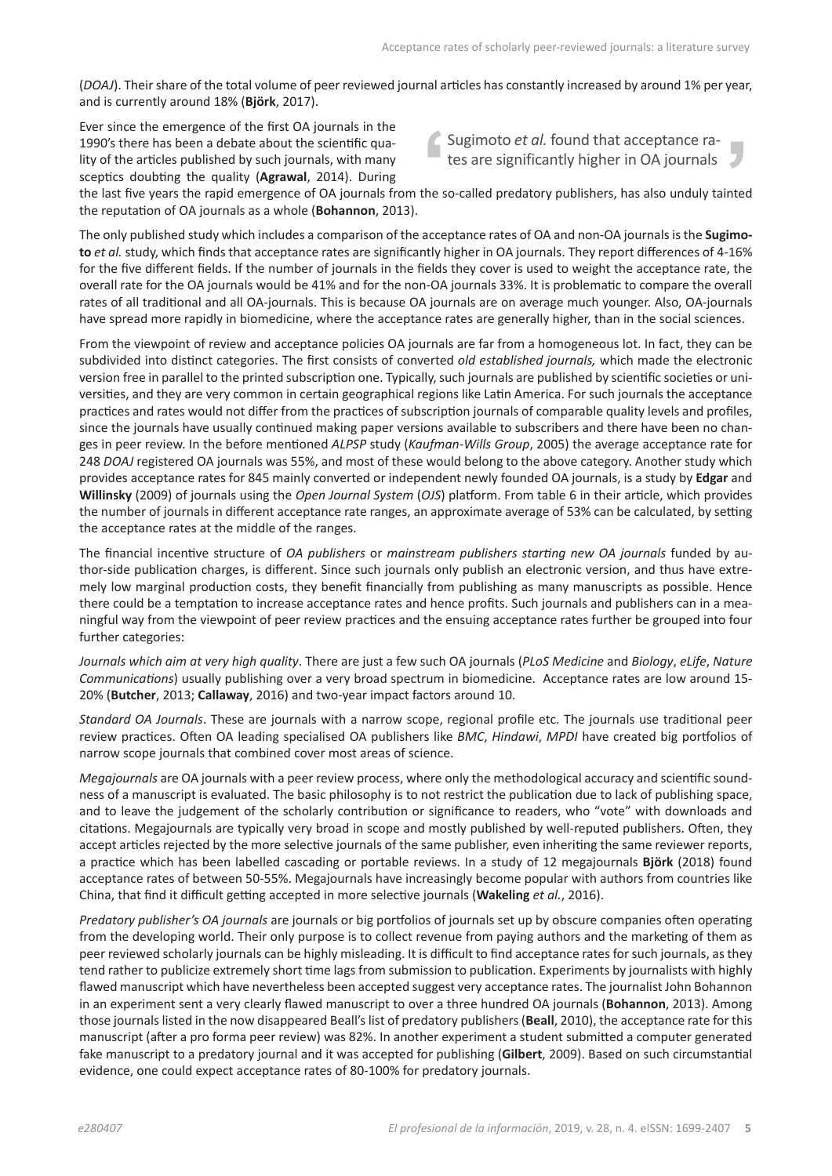(*DOAJ*). Their share of the total volume of peer reviewed journal articles has constantly increased by around 1% per year, and is currently around 18% (**Björk**, 2017).

Ever since the emergence of the first OA journals in the 1990's there has been a debate about the scientific quality of the articles published by such journals, with many sceptics doubting the quality (**Agrawal**, 2014). During

Sugimoto *et al.* found that acceptance rates are significantly higher in OA journals

the last five years the rapid emergence of OA journals from the so-called predatory publishers, has also unduly tainted the reputation of OA journals as a whole (**Bohannon**, 2013).

The only published study which includes a comparison of the acceptance rates of OA and non-OA journals is the **Sugimoto** *et al.* study, which finds that acceptance rates are significantly higher in OA journals. They report differences of 4-16% for the five different fields. If the number of journals in the fields they cover is used to weight the acceptance rate, the overall rate for the OA journals would be 41% and for the non-OA journals 33%. It is problematic to compare the overall rates of all traditional and all OA-journals. This is because OA journals are on average much younger. Also, OA-journals have spread more rapidly in biomedicine, where the acceptance rates are generally higher, than in the social sciences.

From the viewpoint of review and acceptance policies OA journals are far from a homogeneous lot. In fact, they can be subdivided into distinct categories. The first consists of converted *old established journals,* which made the electronic version free in parallel to the printed subscription one. Typically, such journals are published by scientific societies or universities, and they are very common in certain geographical regions like Latin America. For such journals the acceptance practices and rates would not differ from the practices of subscription journals of comparable quality levels and profiles, since the journals have usually continued making paper versions available to subscribers and there have been no changes in peer review. In the before mentioned *ALPSP* study (*Kaufman-Wills Group*, 2005) the average acceptance rate for 248 *DOAJ* registered OA journals was 55%, and most of these would belong to the above category. Another study which provides acceptance rates for 845 mainly converted or independent newly founded OA journals, is a study by **Edgar** and **Willinsky** (2009) of journals using the *Open Journal System* (*OJS*) platform. From table 6 in their article, which provides the number of journals in different acceptance rate ranges, an approximate average of 53% can be calculated, by setting the acceptance rates at the middle of the ranges.

The financial incentive structure of *OA publishers* or *mainstream publishers starting new OA journals* funded by author-side publication charges, is different. Since such journals only publish an electronic version, and thus have extremely low marginal production costs, they benefit financially from publishing as many manuscripts as possible. Hence there could be a temptation to increase acceptance rates and hence profits. Such journals and publishers can in a meaningful way from the viewpoint of peer review practices and the ensuing acceptance rates further be grouped into four further categories:

*Journals which aim at very high quality*. There are just a few such OA journals (*PLoS Medicine* and *Biology*, *eLife*, *Nature Communications*) usually publishing over a very broad spectrum in biomedicine. Acceptance rates are low around 15- 20% (**Butcher**, 2013; **Callaway**, 2016) and two-year impact factors around 10.

*Standard OA Journals*. These are journals with a narrow scope, regional profile etc. The journals use traditional peer review practices. Often OA leading specialised OA publishers like *BMC*, *Hindawi*, *MPDI* have created big portfolios of narrow scope journals that combined cover most areas of science.

*Megajournals* are OA journals with a peer review process, where only the methodological accuracy and scientific soundness of a manuscript is evaluated. The basic philosophy is to not restrict the publication due to lack of publishing space, and to leave the judgement of the scholarly contribution or significance to readers, who "vote" with downloads and citations. Megajournals are typically very broad in scope and mostly published by well-reputed publishers. Often, they accept articles rejected by the more selective journals of the same publisher, even inheriting the same reviewer reports, a practice which has been labelled cascading or portable reviews. In a study of 12 megajournals **Björk** (2018) found acceptance rates of between 50-55%. Megajournals have increasingly become popular with authors from countries like China, that find it difficult getting accepted in more selective journals (**Wakeling** *et al.*, 2016).

*Predatory publisher's OA journals* are journals or big portfolios of journals set up by obscure companies often operating from the developing world. Their only purpose is to collect revenue from paying authors and the marketing of them as peer reviewed scholarly journals can be highly misleading. It is difficult to find acceptance rates for such journals, as they tend rather to publicize extremely short time lags from submission to publication. Experiments by journalists with highly flawed manuscript which have nevertheless been accepted suggest very acceptance rates. The journalist John Bohannon in an experiment sent a very clearly flawed manuscript to over a three hundred OA journals (**Bohannon**, 2013). Among those journals listed in the now disappeared Beall's list of predatory publishers (**Beall**, 2010), the acceptance rate for this manuscript (after a pro forma peer review) was 82%. In another experiment a student submitted a computer generated fake manuscript to a predatory journal and it was accepted for publishing (**Gilbert**, 2009). Based on such circumstantial evidence, one could expect acceptance rates of 80-100% for predatory journals.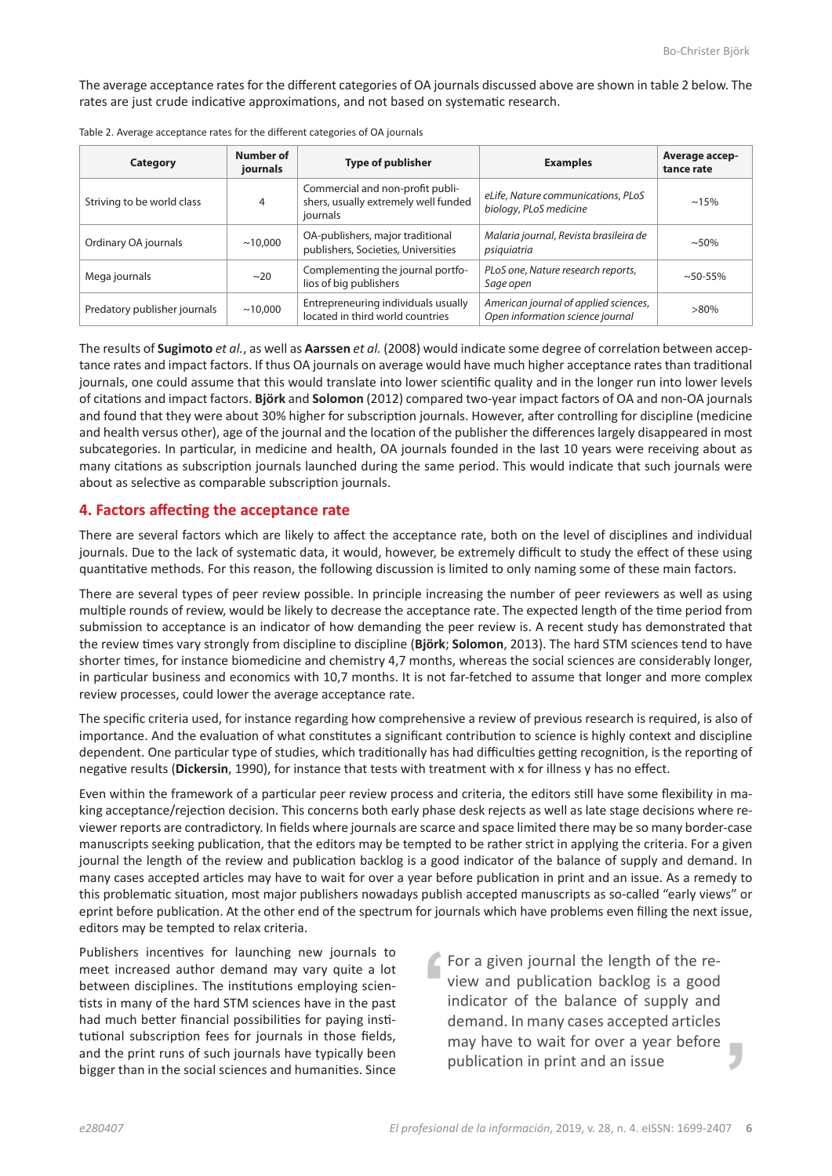The average acceptance rates for the different categories of OA journals discussed above are shown in table 2 below. The rates are just crude indicative approximations, and not based on systematic research.

| Category                     | Number of<br>journals | <b>Type of publisher</b>                                                             | <b>Examples</b>                                                           | Average accep-<br>tance rate |
|------------------------------|-----------------------|--------------------------------------------------------------------------------------|---------------------------------------------------------------------------|------------------------------|
| Striving to be world class   | 4                     | Commercial and non-profit publi-<br>shers, usually extremely well funded<br>journals | eLife, Nature communications, PLoS<br>biology, PLoS medicine              | $~15\%$                      |
| Ordinary OA journals         | ~10,000               | OA-publishers, major traditional<br>publishers, Societies, Universities              | Malaria journal, Revista brasileira de<br>psiquiatria                     | $~1.50\%$                    |
| Mega journals                | ~20                   | Complementing the journal portfo-<br>lios of big publishers                          | PLoS one, Nature research reports,<br>Sage open                           | $~1.50 - 55\%$               |
| Predatory publisher journals | ~10,000               | Entrepreneuring individuals usually<br>located in third world countries              | American journal of applied sciences,<br>Open information science journal | $>80\%$                      |

The results of **Sugimoto** *et al.*, as well as **Aarssen** *et al.* (2008) would indicate some degree of correlation between acceptance rates and impact factors. If thus OA journals on average would have much higher acceptance rates than traditional journals, one could assume that this would translate into lower scientific quality and in the longer run into lower levels of citations and impact factors. **Björk** and **Solomon** (2012) compared two-year impact factors of OA and non-OA journals and found that they were about 30% higher for subscription journals. However, after controlling for discipline (medicine and health versus other), age of the journal and the location of the publisher the differences largely disappeared in most subcategories. In particular, in medicine and health, OA journals founded in the last 10 years were receiving about as many citations as subscription journals launched during the same period. This would indicate that such journals were about as selective as comparable subscription journals.

#### **4. Factors affecting the acceptance rate**

There are several factors which are likely to affect the acceptance rate, both on the level of disciplines and individual journals. Due to the lack of systematic data, it would, however, be extremely difficult to study the effect of these using quantitative methods. For this reason, the following discussion is limited to only naming some of these main factors.

There are several types of peer review possible. In principle increasing the number of peer reviewers as well as using multiple rounds of review, would be likely to decrease the acceptance rate. The expected length of the time period from submission to acceptance is an indicator of how demanding the peer review is. A recent study has demonstrated that the review times vary strongly from discipline to discipline (**Björk**; **Solomon**, 2013). The hard STM sciences tend to have shorter times, for instance biomedicine and chemistry 4,7 months, whereas the social sciences are considerably longer, in particular business and economics with 10,7 months. It is not far-fetched to assume that longer and more complex review processes, could lower the average acceptance rate.

The specific criteria used, for instance regarding how comprehensive a review of previous research is required, is also of importance. And the evaluation of what constitutes a significant contribution to science is highly context and discipline dependent. One particular type of studies, which traditionally has had difficulties getting recognition, is the reporting of negative results (**Dickersin**, 1990), for instance that tests with treatment with x for illness y has no effect.

Even within the framework of a particular peer review process and criteria, the editors still have some flexibility in making acceptance/rejection decision. This concerns both early phase desk rejects as well as late stage decisions where reviewer reports are contradictory. In fields where journals are scarce and space limited there may be so many border-case manuscripts seeking publication, that the editors may be tempted to be rather strict in applying the criteria. For a given journal the length of the review and publication backlog is a good indicator of the balance of supply and demand. In many cases accepted articles may have to wait for over a year before publication in print and an issue. As a remedy to this problematic situation, most major publishers nowadays publish accepted manuscripts as so-called "early views" or eprint before publication. At the other end of the spectrum for journals which have problems even filling the next issue, editors may be tempted to relax criteria.

Publishers incentives for launching new journals to meet increased author demand may vary quite a lot between disciplines. The institutions employing scientists in many of the hard STM sciences have in the past had much better financial possibilities for paying institutional subscription fees for journals in those fields, and the print runs of such journals have typically been bigger than in the social sciences and humanities. Since

For a given journal the length of the review and publication backlog is a good indicator of the balance of supply and demand. In many cases accepted articles may have to wait for over a year before publication in print and an issue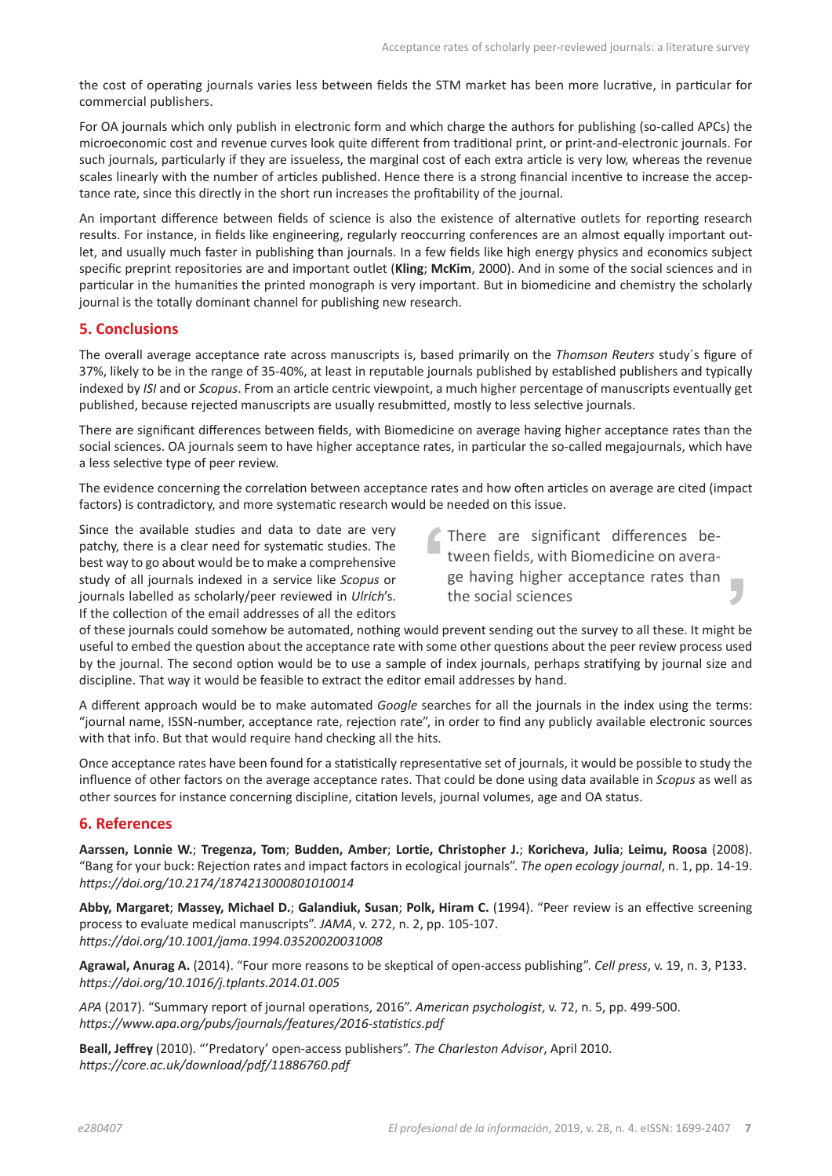the cost of operating journals varies less between fields the STM market has been more lucrative, in particular for commercial publishers.

For OA journals which only publish in electronic form and which charge the authors for publishing (so-called APCs) the microeconomic cost and revenue curves look quite different from traditional print, or print-and-electronic journals. For such journals, particularly if they are issueless, the marginal cost of each extra article is very low, whereas the revenue scales linearly with the number of articles published. Hence there is a strong financial incentive to increase the acceptance rate, since this directly in the short run increases the profitability of the journal.

An important difference between fields of science is also the existence of alternative outlets for reporting research results. For instance, in fields like engineering, regularly reoccurring conferences are an almost equally important outlet, and usually much faster in publishing than journals. In a few fields like high energy physics and economics subject specific preprint repositories are and important outlet (**Kling**; **McKim**, 2000). And in some of the social sciences and in particular in the humanities the printed monograph is very important. But in biomedicine and chemistry the scholarly journal is the totally dominant channel for publishing new research.

## **5. Conclusions**

The overall average acceptance rate across manuscripts is, based primarily on the *Thomson Reuters* study´s figure of 37%, likely to be in the range of 35-40%, at least in reputable journals published by established publishers and typically indexed by *ISI* and or *Scopus*. From an article centric viewpoint, a much higher percentage of manuscripts eventually get published, because rejected manuscripts are usually resubmitted, mostly to less selective journals.

There are significant differences between fields, with Biomedicine on average having higher acceptance rates than the social sciences. OA journals seem to have higher acceptance rates, in particular the so-called megajournals, which have a less selective type of peer review.

The evidence concerning the correlation between acceptance rates and how often articles on average are cited (impact factors) is contradictory, and more systematic research would be needed on this issue.

Since the available studies and data to date are very patchy, there is a clear need for systematic studies. The best way to go about would be to make a comprehensive study of all journals indexed in a service like *Scopus* or journals labelled as scholarly/peer reviewed in *Ulrich*'s. If the collection of the email addresses of all the editors

There are significant differences between fields, with Biomedicine on average having higher acceptance rates than the social sciences

of these journals could somehow be automated, nothing would prevent sending out the survey to all these. It might be useful to embed the question about the acceptance rate with some other questions about the peer review process used by the journal. The second option would be to use a sample of index journals, perhaps stratifying by journal size and discipline. That way it would be feasible to extract the editor email addresses by hand.

A different approach would be to make automated *Google* searches for all the journals in the index using the terms: "journal name, ISSN-number, acceptance rate, rejection rate", in order to find any publicly available electronic sources with that info. But that would require hand checking all the hits.

Once acceptance rates have been found for a statistically representative set of journals, it would be possible to study the influence of other factors on the average acceptance rates. That could be done using data available in *Scopus* as well as other sources for instance concerning discipline, citation levels, journal volumes, age and OA status.

## **6. References**

**Aarssen, Lonnie W.**; **Tregenza, Tom**; **Budden, Amber**; **Lortie, Christopher J.**; **Koricheva, Julia**; **Leimu, Roosa** (2008). "Bang for your buck: Rejection rates and impact factors in ecological journals". *The open ecology journal*, n. 1, pp. 14-19. *https://doi.org/10.2174/1874213000801010014*

**Abby, Margaret**; **Massey, Michael D.**; **Galandiuk, Susan**; **Polk, Hiram C.** (1994). "Peer review is an effective screening process to evaluate medical manuscripts". *JAMA*, v. 272, n. 2, pp. 105-107. *https://doi.org/10.1001/jama.1994.03520020031008*

**Agrawal, Anurag A.** (2014). "Four more reasons to be skeptical of open-access publishing". *Cell press*, v. 19, n. 3, P133. *https://doi.org/10.1016/j.tplants.2014.01.005*

*APA* (2017). "Summary report of journal operations, 2016". *American psychologist*, v. 72, n. 5, pp. 499-500. *https://www.apa.org/pubs/journals/features/2016-statistics.pdf*

**Beall, Jeffrey** (2010). "'Predatory' open-access publishers". *The Charleston Advisor*, April 2010. *https://core.ac.uk/download/pdf/11886760.pdf*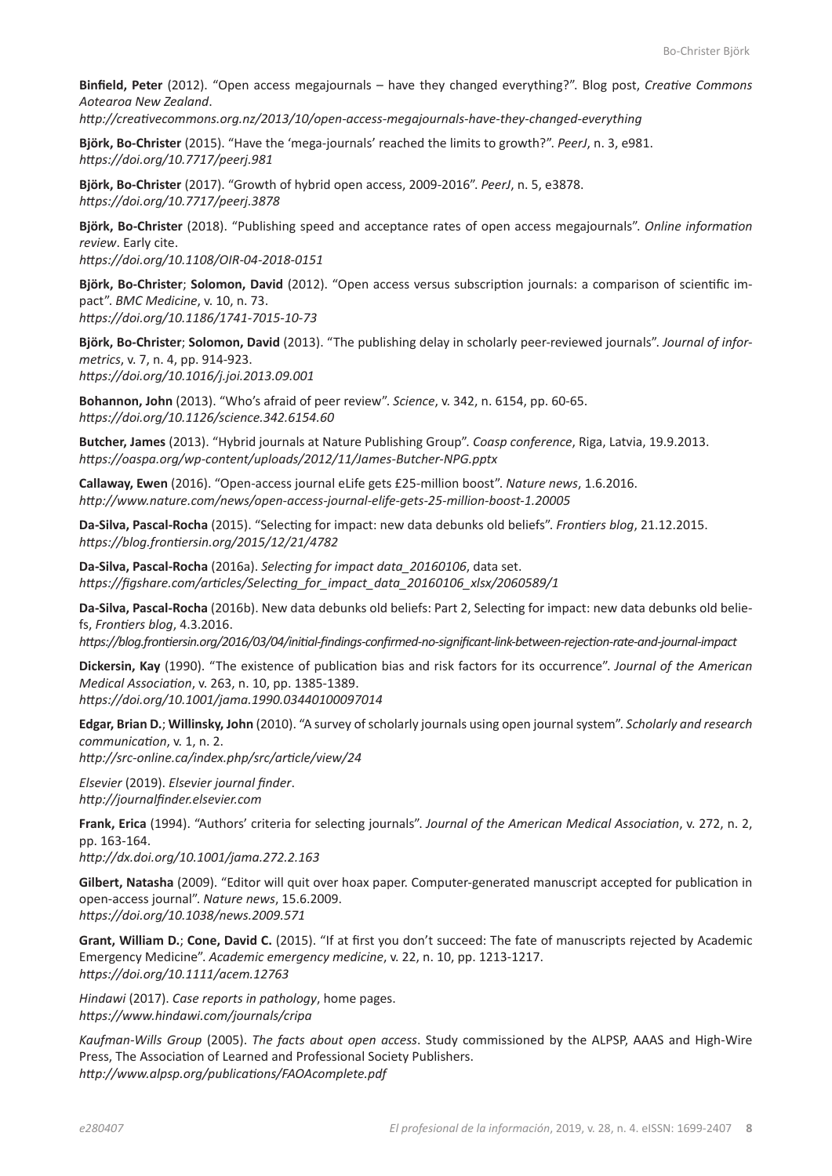**Binfield, Peter** (2012). "Open access megajournals – have they changed everything?". Blog post, *Creative Commons Aotearoa New Zealand*.

*http://creativecommons.org.nz/2013/10/open-access-megajournals-have-they-changed-everything*

**Björk, Bo-Christer** (2015). "Have the 'mega-journals' reached the limits to growth?". *PeerJ*, n. 3, e981. *https://doi.org/10.7717/peerj.981*

**Björk, Bo-Christer** (2017). "Growth of hybrid open access, 2009-2016". *PeerJ*, n. 5, e3878. *https://doi.org/10.7717/peerj.3878*

**Björk, Bo-Christer** (2018). "Publishing speed and acceptance rates of open access megajournals". *Online information review*. Early cite. *https://doi.org/10.1108/OIR-04-2018-0151*

**Björk, Bo-Christer**; **Solomon, David** (2012). "Open access versus subscription journals: a comparison of scientific impact". *BMC Medicine*, v. 10, n. 73. *https://doi.org/10.1186/1741-7015-10-73*

**Björk, Bo-Christer**; **Solomon, David** (2013). "The publishing delay in scholarly peer-reviewed journals". *Journal of informetrics*, v. 7, n. 4, pp. 914-923. *https://doi.org/10.1016/j.joi.2013.09.001*

**Bohannon, John** (2013). "Who's afraid of peer review". *Science*, v. 342, n. 6154, pp. 60-65. *https://doi.org/10.1126/science.342.6154.60*

**Butcher, James** (2013). "Hybrid journals at Nature Publishing Group". *Coasp conference*, Riga, Latvia, 19.9.2013. *https://oaspa.org/wp-content/uploads/2012/11/James-Butcher-NPG.pptx*

**Callaway, Ewen** (2016). "Open-access journal eLife gets £25-million boost". *Nature news*, 1.6.2016. *http://www.nature.com/news/open-access-journal-elife-gets-25-million-boost-1.20005*

**Da-Silva, Pascal-Rocha** (2015). "Selecting for impact: new data debunks old beliefs". *Frontiers blog*, 21.12.2015. *https://blog.frontiersin.org/2015/12/21/4782*

**Da-Silva, Pascal-Rocha** (2016a). *Selecting for impact data\_20160106*, data set. *https://figshare.com/articles/Selecting\_for\_impact\_data\_20160106\_xlsx/2060589/1*

**Da-Silva, Pascal-Rocha** (2016b). New data debunks old beliefs: Part 2, Selecting for impact: new data debunks old beliefs, *Frontiers blog*, 4.3.2016.

*https://blog.frontiersin.org/2016/03/04/initial-findings-confirmed-no-significant-link-between-rejection-rate-and-journal-impact*

**Dickersin, Kay** (1990). "The existence of publication bias and risk factors for its occurrence". *Journal of the American Medical Association*, v. 263, n. 10, pp. 1385-1389. *https://doi.org/10.1001/jama.1990.03440100097014*

**Edgar, Brian D.**; **Willinsky, John** (2010). "A survey of scholarly journals using open journal system". *Scholarly and research communication*, v. 1, n. 2. *http://src-online.ca/index.php/src/article/view/24*

*Elsevier* (2019). *Elsevier journal finder*.

*http://journalfinder.elsevier.com*

**Frank, Erica** (1994). "Authors' criteria for selecting journals". *Journal of the American Medical Association*, v. 272, n. 2, pp. 163-164.

*http://dx.doi.org/10.1001/jama.272.2.163*

**Gilbert, Natasha** (2009). "Editor will quit over hoax paper. Computer-generated manuscript accepted for publication in open-access journal". *Nature news*, 15.6.2009. *https://doi.org/10.1038/news.2009.571*

**Grant, William D.**; **Cone, David C.** (2015). "If at first you don't succeed: The fate of manuscripts rejected by Academic Emergency Medicine". *Academic emergency medicine*, v. 22, n. 10, pp. 1213-1217. *https://doi.org/10.1111/acem.12763*

*Hindawi* (2017). *Case reports in pathology*, home pages. *https://www.hindawi.com/journals/cripa*

*Kaufman-Wills Group* (2005). *The facts about open access*. Study commissioned by the ALPSP, AAAS and High-Wire Press, The Association of Learned and Professional Society Publishers. *http://www.alpsp.org/publications/FAOAcomplete.pdf*